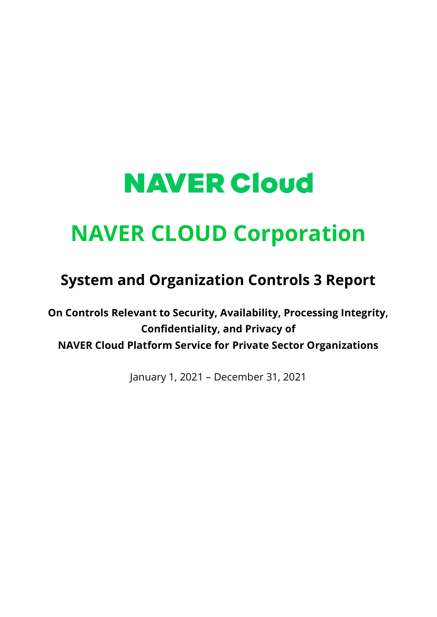# **NAVER Cloud**

## **NAVER CLOUD Corporation**

### **System and Organization Controls 3 Report**

**On Controls Relevant to Security, Availability, Processing Integrity, Confidentiality, and Privacy of NAVER Cloud Platform Service for Private Sector Organizations**

January 1, 2021 – December 31, 2021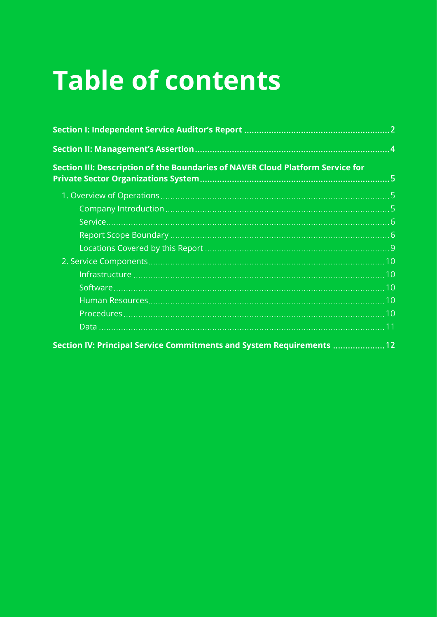# **Table of contents**

| Section III: Description of the Boundaries of NAVER Cloud Platform Service for |  |  |  |
|--------------------------------------------------------------------------------|--|--|--|
|                                                                                |  |  |  |
|                                                                                |  |  |  |
|                                                                                |  |  |  |
|                                                                                |  |  |  |
|                                                                                |  |  |  |
|                                                                                |  |  |  |
|                                                                                |  |  |  |
|                                                                                |  |  |  |
|                                                                                |  |  |  |
|                                                                                |  |  |  |
|                                                                                |  |  |  |
| Section IV: Principal Service Commitments and System Requirements  12          |  |  |  |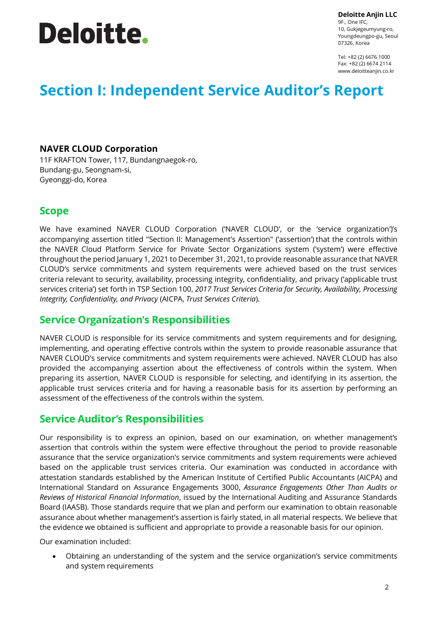# **Deloitte.**

**Deloitte Anjin LLC**

9F., One IFC, 10, Gukjegeumyung-ro, Youngdeungpo-gu, Seoul 07326, Korea

Tel: +82 (2) 6676 1000 Fax: +82 (2) 6674 2114 www.deloitteanjin.co.kr

### **Section I: Independent Service Auditor's Report**

#### **NAVER CLOUD Corporation**

11F KRAFTON Tower, 117, Bundangnaegok-ro, Bundang-gu, Seongnam-si, Gyeonggi-do, Korea

#### **Scope**

We have examined NAVER CLOUD Corporation ('NAVER CLOUD', or the 'service organization')'s accompanying assertion titled "Section II: Management's Assertion" ('assertion') that the controls within the NAVER Cloud Platform Service for Private Sector Organizations system ('system') were effective throughout the period January 1, 2021 to December 31, 2021, to provide reasonable assurance that NAVER CLOUD's service commitments and system requirements were achieved based on the trust services criteria relevant to security, availability, processing integrity, confidentiality, and privacy ('applicable trust services criteria') set forth in [TSP Section 100,](javascript:;) *2017 Trust Services Criteria for Security, Availability, Processing Integrity, Confidentiality, and Privacy* (AICPA, *Trust Services Criteria*).

### **Service Organization's Responsibilities**

NAVER CLOUD is responsible for its service commitments and system requirements and for designing, implementing, and operating effective controls within the system to provide reasonable assurance that NAVER CLOUD's service commitments and system requirements were achieved. NAVER CLOUD has also provided the accompanying assertion about the effectiveness of controls within the system. When preparing its assertion, NAVER CLOUD is responsible for selecting, and identifying in its assertion, the applicable trust services criteria and for having a reasonable basis for its assertion by performing an assessment of the effectiveness of the controls within the system.

### **Service Auditor's Responsibilities**

Our responsibility is to express an opinion, based on our examination, on whether management's assertion that controls within the system were effective throughout the period to provide reasonable assurance that the service organization's service commitments and system requirements were achieved based on the applicable trust services criteria. Our examination was conducted in accordance with attestation standards established by the American Institute of Certified Public Accountants (AICPA) and International Standard on Assurance Engagements 3000, *Assurance Engagements Other Than Audits or Reviews of Historical Financial Information*, issued by the International Auditing and Assurance Standards Board (IAASB). Those standards require that we plan and perform our examination to obtain reasonable assurance about whether management's assertion is fairly stated, in all material respects. We believe that the evidence we obtained is sufficient and appropriate to provide a reasonable basis for our opinion.

Our examination included:

• Obtaining an understanding of the system and the service organization's service commitments and system requirements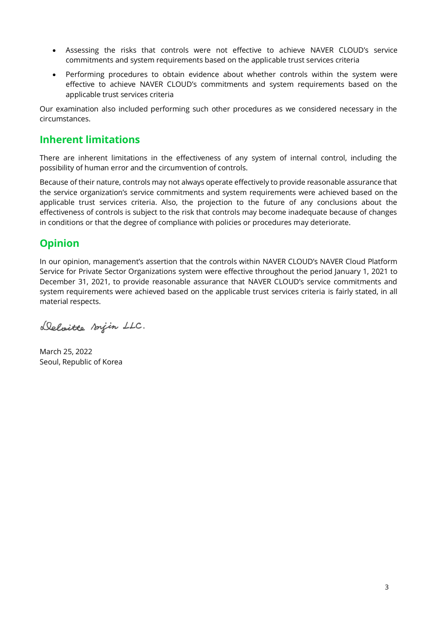- Assessing the risks that controls were not effective to achieve NAVER CLOUD's service commitments and system requirements based on the applicable trust services criteria
- Performing procedures to obtain evidence about whether controls within the system were effective to achieve NAVER CLOUD's commitments and system requirements based on the applicable trust services criteria

Our examination also included performing such other procedures as we considered necessary in the circumstances.

### **Inherent limitations**

There are inherent limitations in the effectiveness of any system of internal control, including the possibility of human error and the circumvention of controls.

Because of their nature, controls may not always operate effectively to provide reasonable assurance that the service organization's service commitments and system requirements were achieved based on the applicable trust services criteria. Also, the projection to the future of any conclusions about the effectiveness of controls is subject to the risk that controls may become inadequate because of changes in conditions or that the degree of compliance with policies or procedures may deteriorate.

### **Opinion**

In our opinion, management's assertion that the controls within NAVER CLOUD's NAVER Cloud Platform Service for Private Sector Organizations system were effective throughout the period January 1, 2021 to December 31, 2021, to provide reasonable assurance that NAVER CLOUD's service commitments and system requirements were achieved based on the applicable trust services criteria is fairly stated, in all material respects.

Deloitte sonjin LLC.

March 25, 2022 Seoul, Republic of Korea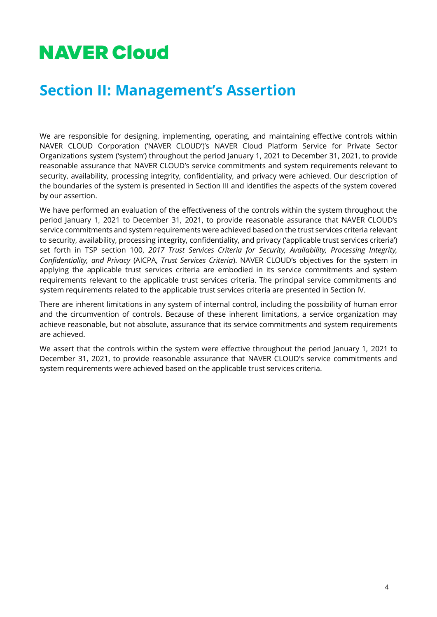## **NAVER Cloud**

### **Section II: Management's Assertion**

We are responsible for designing, implementing, operating, and maintaining effective controls within NAVER CLOUD Corporation ('NAVER CLOUD')'s NAVER Cloud Platform Service for Private Sector Organizations system ('system') throughout the period January 1, 2021 to December 31, 2021, to provide reasonable assurance that NAVER CLOUD's service commitments and system requirements relevant to security, availability, processing integrity, confidentiality, and privacy were achieved. Our description of the boundaries of the system is presented in Section III and identifies the aspects of the system covered by our assertion.

We have performed an evaluation of the effectiveness of the controls within the system throughout the period January 1, 2021 to December 31, 2021, to provide reasonable assurance that NAVER CLOUD's service commitments and system requirements were achieved based on the trust services criteria relevant to security, availability, processing integrity, confidentiality, and privacy ('applicable trust services criteria') set forth in TSP section 100, *2017 Trust Services Criteria for Security, Availability, Processing Integrity, Confidentiality, and Privacy* (AICPA, *Trust Services Criteria*). NAVER CLOUD's objectives for the system in applying the applicable trust services criteria are embodied in its service commitments and system requirements relevant to the applicable trust services criteria. The principal service commitments and system requirements related to the applicable trust services criteria are presented in Section IV.

There are inherent limitations in any system of internal control, including the possibility of human error and the circumvention of controls. Because of these inherent limitations, a service organization may achieve reasonable, but not absolute, assurance that its service commitments and system requirements are achieved.

We assert that the controls within the system were effective throughout the period January 1, 2021 to December 31, 2021, to provide reasonable assurance that NAVER CLOUD's service commitments and system requirements were achieved based on the applicable trust services criteria.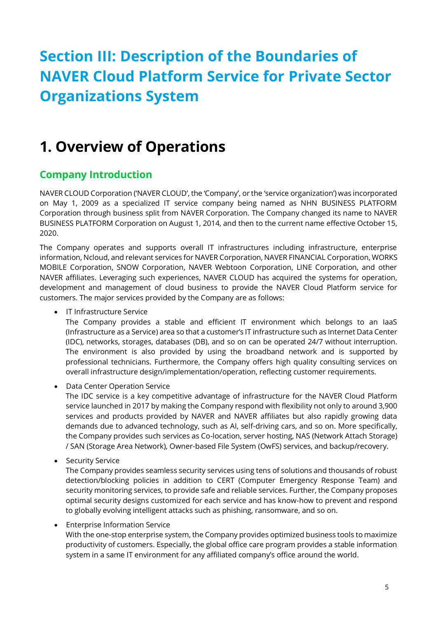### **Section III: Description of the Boundaries of NAVER Cloud Platform Service for Private Sector Organizations System**

### **1. Overview of Operations**

### **Company Introduction**

NAVER CLOUD Corporation ('NAVER CLOUD', the 'Company', or the 'service organization') was incorporated on May 1, 2009 as a specialized IT service company being named as NHN BUSINESS PLATFORM Corporation through business split from NAVER Corporation. The Company changed its name to NAVER BUSINESS PLATFORM Corporation on August 1, 2014, and then to the current name effective October 15, 2020.

The Company operates and supports overall IT infrastructures including infrastructure, enterprise information, Ncloud, and relevant services for NAVER Corporation, NAVER FINANCIAL Corporation, WORKS MOBILE Corporation, SNOW Corporation, NAVER Webtoon Corporation, LINE Corporation, and other NAVER affiliates. Leveraging such experiences, NAVER CLOUD has acquired the systems for operation, development and management of cloud business to provide the NAVER Cloud Platform service for customers. The major services provided by the Company are as follows:

• IT Infrastructure Service

The Company provides a stable and efficient IT environment which belongs to an IaaS (Infrastructure as a Service) area so that a customer's IT infrastructure such as Internet Data Center (IDC), networks, storages, databases (DB), and so on can be operated 24/7 without interruption. The environment is also provided by using the broadband network and is supported by professional technicians. Furthermore, the Company offers high quality consulting services on overall infrastructure design/implementation/operation, reflecting customer requirements.

• Data Center Operation Service

The IDC service is a key competitive advantage of infrastructure for the NAVER Cloud Platform service launched in 2017 by making the Company respond with flexibility not only to around 3,900 services and products provided by NAVER and NAVER affiliates but also rapidly growing data demands due to advanced technology, such as AI, self-driving cars, and so on. More specifically, the Company provides such services as Co-location, server hosting, NAS (Network Attach Storage) / SAN (Storage Area Network), Owner-based File System (OwFS) services, and backup/recovery.

• Security Service

The Company provides seamless security services using tens of solutions and thousands of robust detection/blocking policies in addition to CERT (Computer Emergency Response Team) and security monitoring services, to provide safe and reliable services. Further, the Company proposes optimal security designs customized for each service and has know-how to prevent and respond to globally evolving intelligent attacks such as phishing, ransomware, and so on.

• Enterprise Information Service

With the one-stop enterprise system, the Company provides optimized business tools to maximize productivity of customers. Especially, the global office care program provides a stable information system in a same IT environment for any affiliated company's office around the world.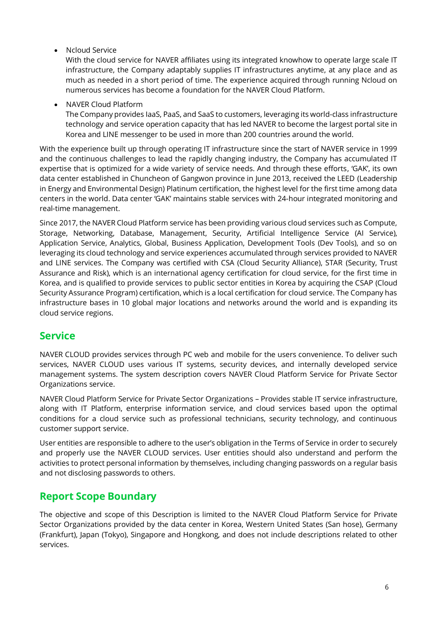• Ncloud Service

With the cloud service for NAVER affiliates using its integrated knowhow to operate large scale IT infrastructure, the Company adaptably supplies IT infrastructures anytime, at any place and as much as needed in a short period of time. The experience acquired through running Ncloud on numerous services has become a foundation for the NAVER Cloud Platform.

• NAVER Cloud Platform

The Company provides IaaS, PaaS, and SaaS to customers, leveraging its world-class infrastructure technology and service operation capacity that has led NAVER to become the largest portal site in Korea and LINE messenger to be used in more than 200 countries around the world.

With the experience built up through operating IT infrastructure since the start of NAVER service in 1999 and the continuous challenges to lead the rapidly changing industry, the Company has accumulated IT expertise that is optimized for a wide variety of service needs. And through these efforts, 'GAK', its own data center established in Chuncheon of Gangwon province in June 2013, received the LEED (Leadership in Energy and Environmental Design) Platinum certification, the highest level for the first time among data centers in the world. Data center 'GAK' maintains stable services with 24-hour integrated monitoring and real-time management.

Since 2017, the NAVER Cloud Platform service has been providing various cloud services such as Compute, Storage, Networking, Database, Management, Security, Artificial Intelligence Service (AI Service), Application Service, Analytics, Global, Business Application, Development Tools (Dev Tools), and so on leveraging its cloud technology and service experiences accumulated through services provided to NAVER and LINE services. The Company was certified with CSA (Cloud Security Alliance), STAR (Security, Trust Assurance and Risk), which is an international agency certification for cloud service, for the first time in Korea, and is qualified to provide services to public sector entities in Korea by acquiring the CSAP (Cloud Security Assurance Program) certification, which is a local certification for cloud service. The Company has infrastructure bases in 10 global major locations and networks around the world and is expanding its cloud service regions.

#### **Service**

NAVER CLOUD provides services through PC web and mobile for the users convenience. To deliver such services, NAVER CLOUD uses various IT systems, security devices, and internally developed service management systems. The system description covers NAVER Cloud Platform Service for Private Sector Organizations service.

NAVER Cloud Platform Service for Private Sector Organizations – Provides stable IT service infrastructure, along with IT Platform, enterprise information service, and cloud services based upon the optimal conditions for a cloud service such as professional technicians, security technology, and continuous customer support service.

User entities are responsible to adhere to the user's obligation in the Terms of Service in order to securely and properly use the NAVER CLOUD services. User entities should also understand and perform the activities to protect personal information by themselves, including changing passwords on a regular basis and not disclosing passwords to others.

### **Report Scope Boundary**

The objective and scope of this Description is limited to the NAVER Cloud Platform Service for Private Sector Organizations provided by the data center in Korea, Western United States (San hose), Germany (Frankfurt), Japan (Tokyo), Singapore and Hongkong, and does not include descriptions related to other services.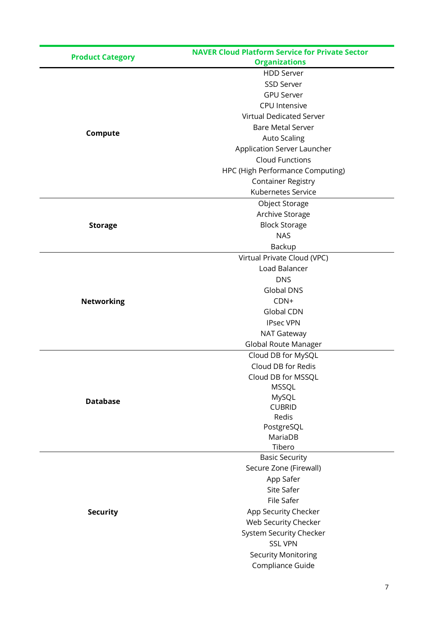| <b>Product Category</b> | <b>NAVER Cloud Platform Service for Private Sector</b> |
|-------------------------|--------------------------------------------------------|
|                         | <b>Organizations</b>                                   |
|                         | <b>HDD Server</b>                                      |
|                         | SSD Server                                             |
|                         | <b>GPU Server</b>                                      |
|                         | <b>CPU</b> Intensive                                   |
|                         | <b>Virtual Dedicated Server</b>                        |
| Compute                 | <b>Bare Metal Server</b>                               |
|                         | <b>Auto Scaling</b>                                    |
|                         | Application Server Launcher                            |
|                         | <b>Cloud Functions</b>                                 |
|                         | HPC (High Performance Computing)                       |
|                         | <b>Container Registry</b>                              |
|                         | Kubernetes Service                                     |
|                         | Object Storage                                         |
|                         | Archive Storage                                        |
| <b>Storage</b>          | <b>Block Storage</b>                                   |
|                         | <b>NAS</b>                                             |
|                         | Backup                                                 |
|                         | Virtual Private Cloud (VPC)                            |
|                         | Load Balancer                                          |
|                         | <b>DNS</b>                                             |
|                         | <b>Global DNS</b>                                      |
|                         | CDN+                                                   |
| <b>Networking</b>       | <b>Global CDN</b>                                      |
|                         |                                                        |
|                         | <b>IPsec VPN</b>                                       |
|                         | NAT Gateway                                            |
|                         | Global Route Manager                                   |
|                         | Cloud DB for MySQL                                     |
|                         | Cloud DB for Redis                                     |
|                         | Cloud DB for MSSQL                                     |
|                         | <b>MSSQL</b><br>MySQL                                  |
| <b>Database</b>         | <b>CUBRID</b>                                          |
|                         | Redis                                                  |
|                         | PostgreSQL                                             |
|                         | MariaDB                                                |
|                         | Tibero                                                 |
|                         | <b>Basic Security</b>                                  |
|                         | Secure Zone (Firewall)                                 |
|                         | App Safer                                              |
|                         | Site Safer                                             |
|                         | File Safer                                             |
| <b>Security</b>         | App Security Checker                                   |
|                         | Web Security Checker                                   |
|                         | System Security Checker                                |
|                         | <b>SSL VPN</b>                                         |
|                         | <b>Security Monitoring</b>                             |
|                         | Compliance Guide                                       |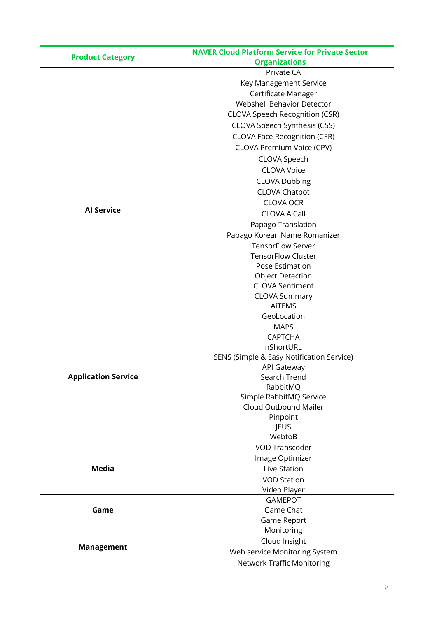| <b>Product Category</b>    | <b>NAVER Cloud Platform Service for Private Sector</b> |
|----------------------------|--------------------------------------------------------|
|                            | <b>Organizations</b>                                   |
|                            | Private CA                                             |
|                            | Key Management Service                                 |
|                            | Certificate Manager                                    |
|                            | Webshell Behavior Detector                             |
|                            | CLOVA Speech Recognition (CSR)                         |
|                            | CLOVA Speech Synthesis (CSS)                           |
|                            | <b>CLOVA Face Recognition (CFR)</b>                    |
|                            | CLOVA Premium Voice (CPV)                              |
|                            | CLOVA Speech                                           |
|                            | <b>CLOVA Voice</b>                                     |
|                            | <b>CLOVA Dubbing</b>                                   |
|                            | <b>CLOVA Chatbot</b>                                   |
|                            | <b>CLOVA OCR</b>                                       |
| <b>Al Service</b>          | <b>CLOVA AiCall</b>                                    |
|                            |                                                        |
|                            | Papago Translation                                     |
|                            | Papago Korean Name Romanizer                           |
|                            | <b>TensorFlow Server</b><br><b>TensorFlow Cluster</b>  |
|                            |                                                        |
|                            | Pose Estimation                                        |
|                            | <b>Object Detection</b><br><b>CLOVA Sentiment</b>      |
|                            | <b>CLOVA Summary</b>                                   |
|                            | <b>AiTEMS</b>                                          |
|                            | GeoLocation                                            |
|                            | <b>MAPS</b>                                            |
|                            | <b>CAPTCHA</b>                                         |
|                            | nShortURL                                              |
|                            | SENS (Simple & Easy Notification Service)              |
|                            | <b>API Gateway</b>                                     |
| <b>Application Service</b> | Search Trend                                           |
|                            | RabbitMQ                                               |
|                            | Simple RabbitMQ Service                                |
|                            | Cloud Outbound Mailer                                  |
|                            | Pinpoint                                               |
|                            | JEUS                                                   |
|                            | WebtoB                                                 |
|                            | <b>VOD Transcoder</b>                                  |
|                            | Image Optimizer                                        |
| <b>Media</b>               | Live Station                                           |
|                            | <b>VOD Station</b>                                     |
|                            | Video Player                                           |
| Game                       | <b>GAMEPOT</b>                                         |
|                            | Game Chat                                              |
|                            | Game Report                                            |
| <b>Management</b>          | Monitoring                                             |
|                            | Cloud Insight                                          |
|                            | Web service Monitoring System                          |
|                            | <b>Network Traffic Monitoring</b>                      |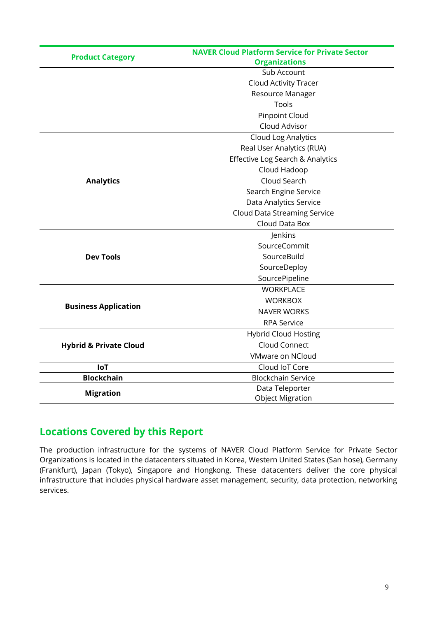| <b>Product Category</b>           | <b>NAVER Cloud Platform Service for Private Sector</b> |
|-----------------------------------|--------------------------------------------------------|
|                                   | <b>Organizations</b>                                   |
|                                   | Sub Account                                            |
|                                   | Cloud Activity Tracer                                  |
|                                   | Resource Manager                                       |
|                                   | Tools                                                  |
|                                   | <b>Pinpoint Cloud</b>                                  |
|                                   | Cloud Advisor                                          |
|                                   | Cloud Log Analytics                                    |
|                                   | Real User Analytics (RUA)                              |
|                                   | Effective Log Search & Analytics                       |
|                                   | Cloud Hadoop                                           |
| <b>Analytics</b>                  | Cloud Search                                           |
|                                   | Search Engine Service                                  |
|                                   | Data Analytics Service                                 |
|                                   | Cloud Data Streaming Service                           |
|                                   | Cloud Data Box                                         |
|                                   | Jenkins                                                |
|                                   | SourceCommit                                           |
| <b>Dev Tools</b>                  | SourceBuild                                            |
|                                   | SourceDeploy                                           |
|                                   | SourcePipeline                                         |
|                                   | <b>WORKPLACE</b>                                       |
|                                   | <b>WORKBOX</b>                                         |
| <b>Business Application</b>       | <b>NAVER WORKS</b>                                     |
|                                   | <b>RPA Service</b>                                     |
|                                   | <b>Hybrid Cloud Hosting</b>                            |
| <b>Hybrid &amp; Private Cloud</b> | Cloud Connect                                          |
|                                   | VMware on NCloud                                       |
| <b>IoT</b>                        | Cloud IoT Core                                         |
| <b>Blockchain</b>                 | <b>Blockchain Service</b>                              |
| <b>Migration</b>                  | Data Teleporter                                        |
|                                   | <b>Object Migration</b>                                |

### **Locations Covered by this Report**

The production infrastructure for the systems of NAVER Cloud Platform Service for Private Sector Organizations is located in the datacenters situated in Korea, Western United States (San hose), Germany (Frankfurt), Japan (Tokyo), Singapore and Hongkong. These datacenters deliver the core physical infrastructure that includes physical hardware asset management, security, data protection, networking services.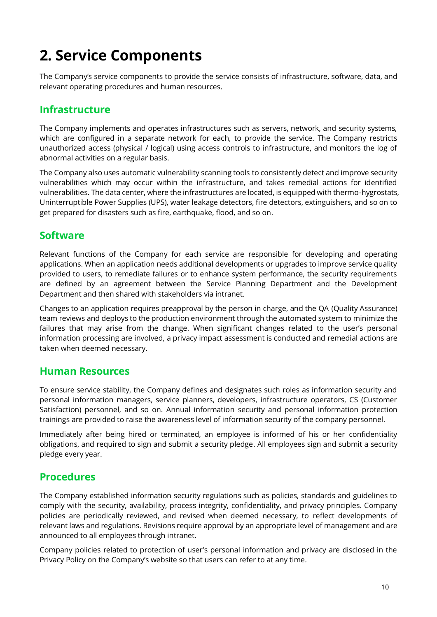## **2. Service Components**

The Company's service components to provide the service consists of infrastructure, software, data, and relevant operating procedures and human resources.

### **Infrastructure**

The Company implements and operates infrastructures such as servers, network, and security systems, which are configured in a separate network for each, to provide the service. The Company restricts unauthorized access (physical / logical) using access controls to infrastructure, and monitors the log of abnormal activities on a regular basis.

The Company also uses automatic vulnerability scanning tools to consistently detect and improve security vulnerabilities which may occur within the infrastructure, and takes remedial actions for identified vulnerabilities. The data center, where the infrastructures are located, is equipped with thermo-hygrostats, Uninterruptible Power Supplies (UPS), water leakage detectors, fire detectors, extinguishers, and so on to get prepared for disasters such as fire, earthquake, flood, and so on.

#### **Software**

Relevant functions of the Company for each service are responsible for developing and operating applications. When an application needs additional developments or upgrades to improve service quality provided to users, to remediate failures or to enhance system performance, the security requirements are defined by an agreement between the Service Planning Department and the Development Department and then shared with stakeholders via intranet.

Changes to an application requires preapproval by the person in charge, and the QA (Quality Assurance) team reviews and deploys to the production environment through the automated system to minimize the failures that may arise from the change. When significant changes related to the user's personal information processing are involved, a privacy impact assessment is conducted and remedial actions are taken when deemed necessary.

#### **Human Resources**

To ensure service stability, the Company defines and designates such roles as information security and personal information managers, service planners, developers, infrastructure operators, CS (Customer Satisfaction) personnel, and so on. Annual information security and personal information protection trainings are provided to raise the awareness level of information security of the company personnel.

Immediately after being hired or terminated, an employee is informed of his or her confidentiality obligations, and required to sign and submit a security pledge. All employees sign and submit a security pledge every year.

### **Procedures**

The Company established information security regulations such as policies, standards and guidelines to comply with the security, availability, process integrity, confidentiality, and privacy principles. Company policies are periodically reviewed, and revised when deemed necessary, to reflect developments of relevant laws and regulations. Revisions require approval by an appropriate level of management and are announced to all employees through intranet.

Company policies related to protection of user's personal information and privacy are disclosed in the Privacy Policy on the Company's website so that users can refer to at any time.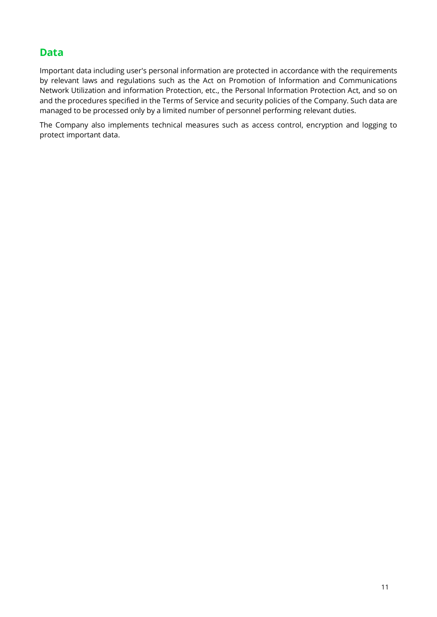### **Data**

Important data including user's personal information are protected in accordance with the requirements by relevant laws and regulations such as the Act on Promotion of Information and Communications Network Utilization and information Protection, etc., the Personal Information Protection Act, and so on and the procedures specified in the Terms of Service and security policies of the Company. Such data are managed to be processed only by a limited number of personnel performing relevant duties.

The Company also implements technical measures such as access control, encryption and logging to protect important data.